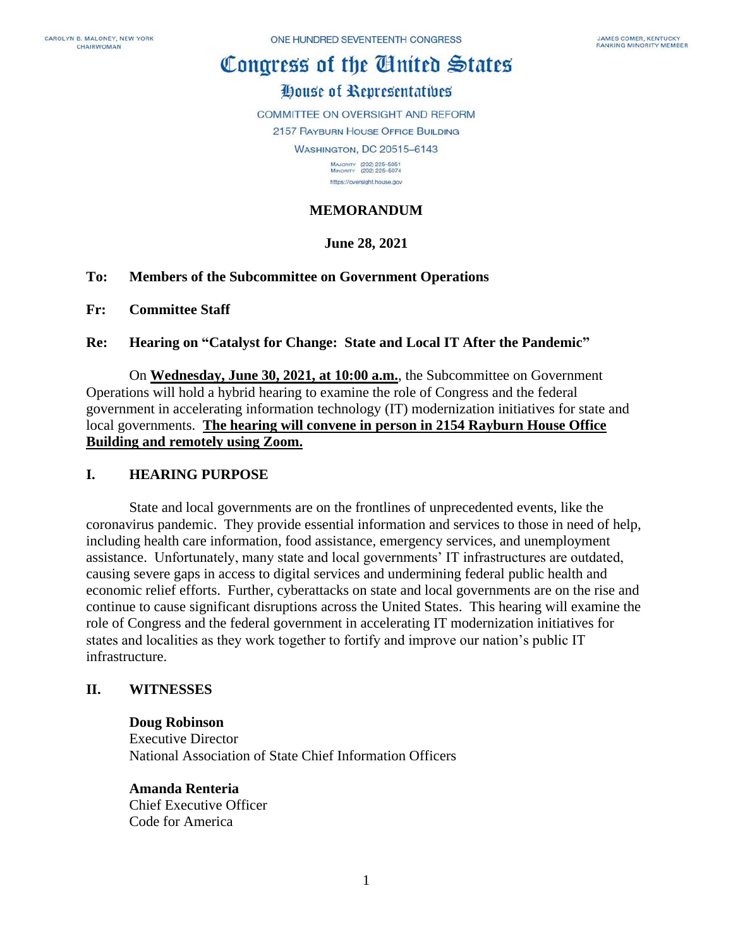# Congress of the Cinited States

## House of Representatives

COMMITTEE ON OVERSIGHT AND REFORM

2157 RAYBURN HOUSE OFFICE BUILDING

**WASHINGTON, DC 20515-6143** 

MAJORITY (202) 225-5051<br>MINORITY (202) 225-5074 https://oversight.house.gov

### **MEMORANDUM**

### **June 28, 2021**

#### **To: Members of the Subcommittee on Government Operations**

**Fr: Committee Staff**

#### **Re: Hearing on "Catalyst for Change: State and Local IT After the Pandemic"**

On **Wednesday, June 30, 2021, at 10:00 a.m.**, the Subcommittee on Government Operations will hold a hybrid hearing to examine the role of Congress and the federal government in accelerating information technology (IT) modernization initiatives for state and local governments. **The hearing will convene in person in 2154 Rayburn House Office Building and remotely using Zoom.**

#### **I. HEARING PURPOSE**

State and local governments are on the frontlines of unprecedented events, like the coronavirus pandemic. They provide essential information and services to those in need of help, including health care information, food assistance, emergency services, and unemployment assistance. Unfortunately, many state and local governments' IT infrastructures are outdated, causing severe gaps in access to digital services and undermining federal public health and economic relief efforts. Further, cyberattacks on state and local governments are on the rise and continue to cause significant disruptions across the United States. This hearing will examine the role of Congress and the federal government in accelerating IT modernization initiatives for states and localities as they work together to fortify and improve our nation's public IT infrastructure.

#### **II. WITNESSES**

#### **Doug Robinson**

Executive Director National Association of State Chief Information Officers

### **Amanda Renteria**

Chief Executive Officer Code for America